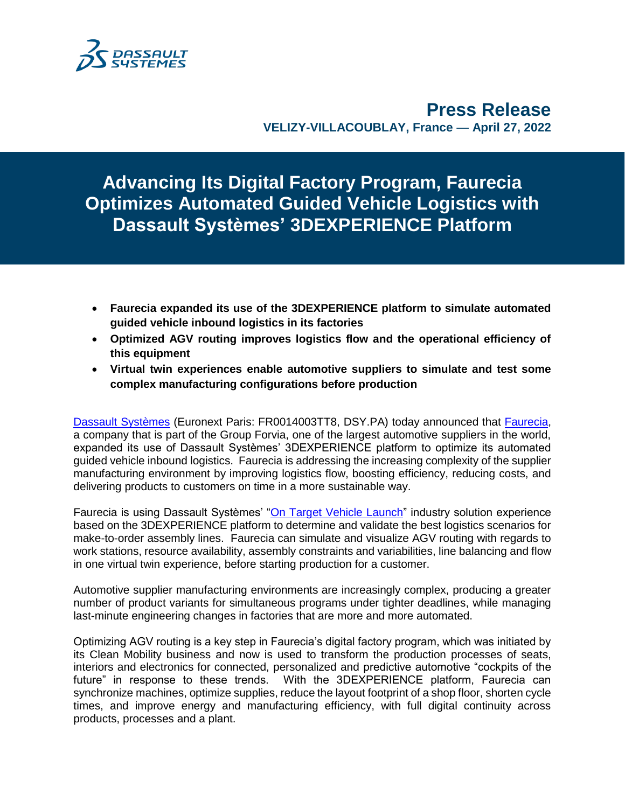

**Press Release VELIZY-VILLACOUBLAY, France** — **April 27, 2022**

**Advancing Its Digital Factory Program, Faurecia Optimizes Automated Guided Vehicle Logistics with Dassault Systèmes' 3DEXPERIENCE Platform**

- **Faurecia expanded its use of the 3DEXPERIENCE platform to simulate automated guided vehicle inbound logistics in its factories**
- **Optimized AGV routing improves logistics flow and the operational efficiency of this equipment**
- **Virtual twin experiences enable automotive suppliers to simulate and test some complex manufacturing configurations before production**

[Dassault Systèmes](http://www.3ds.com/) (Euronext Paris: FR0014003TT8, DSY.PA) today announced that [Faurecia,](https://www.faurecia.com/en) a company that is part of the Group Forvia, one of the largest automotive suppliers in the world, expanded its use of Dassault Systèmes' 3DEXPERIENCE platform to optimize its automated guided vehicle inbound logistics. Faurecia is addressing the increasing complexity of the supplier manufacturing environment by improving logistics flow, boosting efficiency, reducing costs, and delivering products to customers on time in a more sustainable way.

Faurecia is using Dassault Systèmes' ["On Target Vehicle Launch"](https://my.3dexperience.3ds.com/welcome/compass-world/3dexperience-industries/transportation-and-mobility/on-target-vehicle-launch) industry solution experience based on the 3DEXPERIENCE platform to determine and validate the best logistics scenarios for make-to-order assembly lines. Faurecia can simulate and visualize AGV routing with regards to work stations, resource availability, assembly constraints and variabilities, line balancing and flow in one virtual twin experience, before starting production for a customer.

Automotive supplier manufacturing environments are increasingly complex, producing a greater number of product variants for simultaneous programs under tighter deadlines, while managing last-minute engineering changes in factories that are more and more automated.

Optimizing AGV routing is a key step in Faurecia's digital factory program, which was initiated by its Clean Mobility business and now is used to transform the production processes of seats, interiors and electronics for connected, personalized and predictive automotive "cockpits of the future" in response to these trends. With the 3DEXPERIENCE platform, Faurecia can synchronize machines, optimize supplies, reduce the layout footprint of a shop floor, shorten cycle times, and improve energy and manufacturing efficiency, with full digital continuity across products, processes and a plant.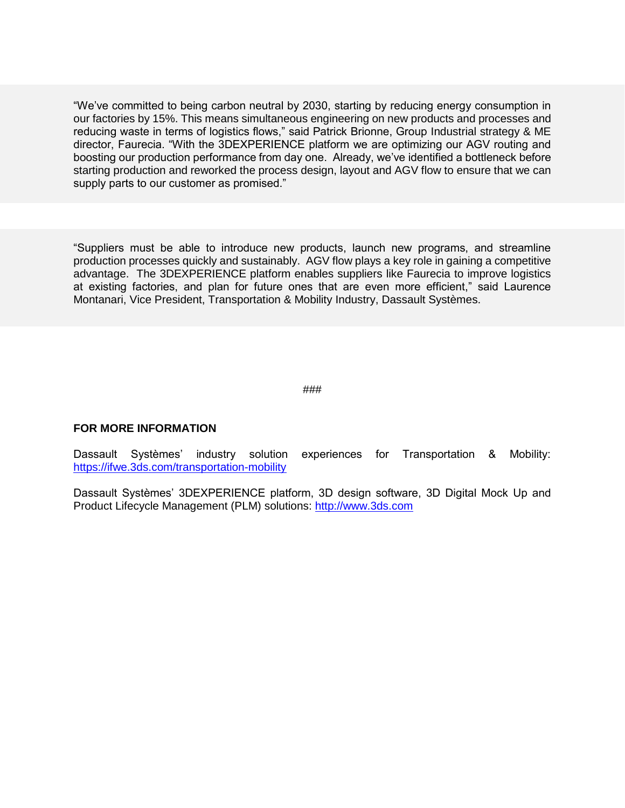"We've committed to being carbon neutral by 2030, starting by reducing energy consumption in our factories by 15%. This means simultaneous engineering on new products and processes and reducing waste in terms of logistics flows," said Patrick Brionne, Group Industrial strategy & ME director, Faurecia. "With the 3DEXPERIENCE platform we are optimizing our AGV routing and boosting our production performance from day one. Already, we've identified a bottleneck before starting production and reworked the process design, layout and AGV flow to ensure that we can supply parts to our customer as promised."

"Suppliers must be able to introduce new products, launch new programs, and streamline production processes quickly and sustainably. AGV flow plays a key role in gaining a competitive advantage. The 3DEXPERIENCE platform enables suppliers like Faurecia to improve logistics at existing factories, and plan for future ones that are even more efficient," said Laurence Montanari, Vice President, Transportation & Mobility Industry, Dassault Systèmes.

###

## **FOR MORE INFORMATION**

Dassault Systèmes' industry solution experiences for Transportation & Mobility: <https://ifwe.3ds.com/transportation-mobility>

Dassault Systèmes' 3DEXPERIENCE platform, 3D design software, 3D Digital Mock Up and Product Lifecycle Management (PLM) solutions: [http://www.3ds.com](http://www.3ds.com/)